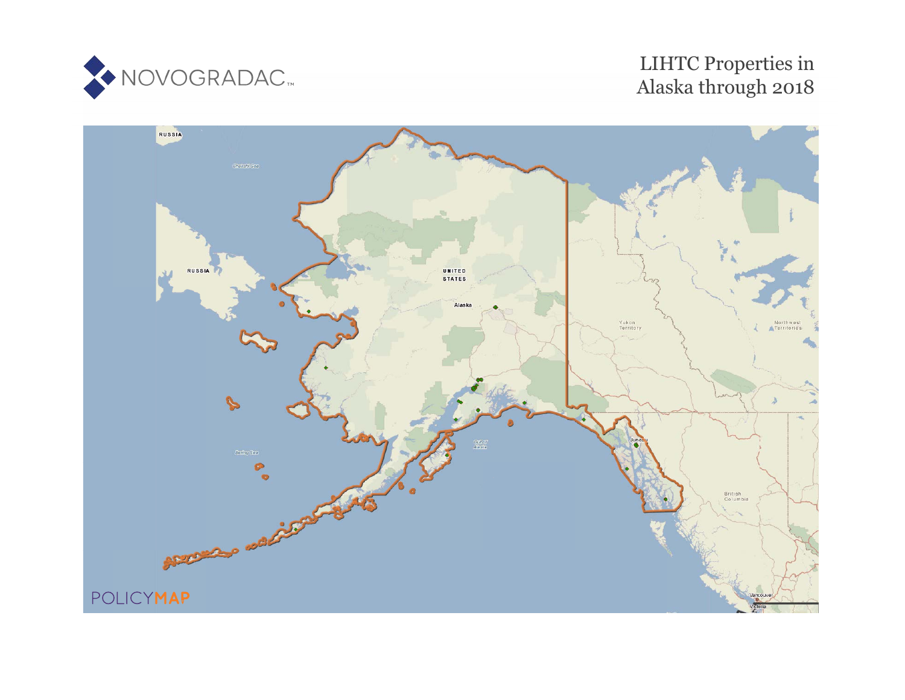

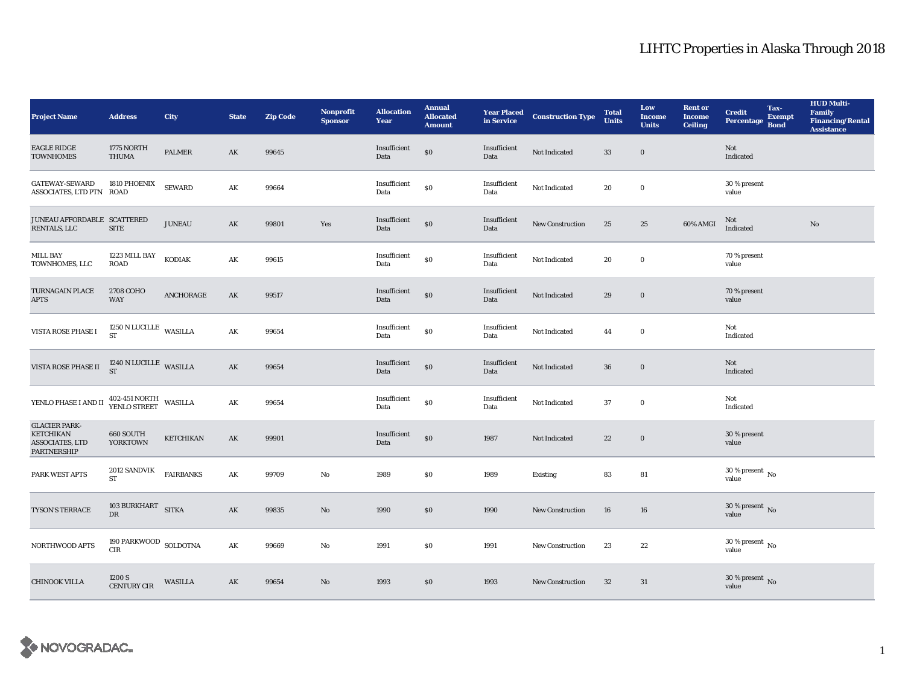| <b>Project Name</b>                                                                      | <b>Address</b>                        | City             | <b>State</b>           | <b>Zip Code</b> | <b>Nonprofit</b><br><b>Sponsor</b> | <b>Allocation</b><br>Year | <b>Annual</b><br><b>Allocated</b><br><b>Amount</b> |                      | <b>Year Placed Construction Type</b><br>in Service | <b>Total</b><br><b>Units</b> | Low<br><b>Income</b><br><b>Units</b> | <b>Rent or</b><br><b>Income</b><br><b>Ceiling</b> | <b>Credit</b><br><b>Percentage</b> | Tax-<br><b>Exempt</b><br><b>Bond</b> | <b>HUD Multi-</b><br><b>Family</b><br><b>Financing/Rental</b><br><b>Assistance</b> |
|------------------------------------------------------------------------------------------|---------------------------------------|------------------|------------------------|-----------------|------------------------------------|---------------------------|----------------------------------------------------|----------------------|----------------------------------------------------|------------------------------|--------------------------------------|---------------------------------------------------|------------------------------------|--------------------------------------|------------------------------------------------------------------------------------|
| <b>EAGLE RIDGE</b><br><b>TOWNHOMES</b>                                                   | 1775 NORTH<br>THUMA                   | PALMER           | AK                     | 99645           |                                    | Insufficient<br>Data      | $\$0$                                              | Insufficient<br>Data | Not Indicated                                      | $\bf 33$                     | $\mathbf 0$                          |                                                   | Not<br>Indicated                   |                                      |                                                                                    |
| <b>GATEWAY-SEWARD</b><br>ASSOCIATES, LTD PTN ROAD                                        | 1810 PHOENIX                          | <b>SEWARD</b>    | $\mathbf{A}\mathbf{K}$ | 99664           |                                    | Insufficient<br>Data      | $\$0$                                              | Insufficient<br>Data | Not Indicated                                      | 20                           | $\mathbf 0$                          |                                                   | 30 % present<br>value              |                                      |                                                                                    |
| JUNEAU AFFORDABLE SCATTERED<br>RENTALS, LLC                                              | <b>SITE</b>                           | <b>JUNEAU</b>    | AK                     | 99801           | Yes                                | Insufficient<br>Data      | $\$0$                                              | Insufficient<br>Data | <b>New Construction</b>                            | 25                           | 25                                   | 60% AMGI                                          | Not<br>Indicated                   |                                      | $\mathbf{N}\mathbf{o}$                                                             |
| <b>MILL BAY</b><br>TOWNHOMES, LLC                                                        | 1223 MILL BAY<br><b>ROAD</b>          | KODIAK           | AK                     | 99615           |                                    | Insufficient<br>Data      | $\$0$                                              | Insufficient<br>Data | Not Indicated                                      | 20                           | $\mathbf 0$                          |                                                   | 70 % present<br>value              |                                      |                                                                                    |
| <b>TURNAGAIN PLACE</b><br><b>APTS</b>                                                    | 2708 COHO<br><b>WAY</b>               | ANCHORAGE        | $\mathbf{A}\mathbf{K}$ | 99517           |                                    | Insufficient<br>Data      | $\$0$                                              | Insufficient<br>Data | Not Indicated                                      | 29                           | $\mathbf 0$                          |                                                   | 70 % present<br>value              |                                      |                                                                                    |
| VISTA ROSE PHASE I                                                                       | $1250$ N LUCILLE WASILLA<br><b>ST</b> |                  | AK                     | 99654           |                                    | Insufficient<br>Data      | $\$0$                                              | Insufficient<br>Data | Not Indicated                                      | 44                           | $\bf{0}$                             |                                                   | Not<br>Indicated                   |                                      |                                                                                    |
| VISTA ROSE PHASE II                                                                      | $1240$ N LUCILLE WASILLA ST           |                  | $\mathbf{AK}$          | 99654           |                                    | Insufficient<br>Data      | $\$0$                                              | Insufficient<br>Data | Not Indicated                                      | 36                           | $\bf{0}$                             |                                                   | Not<br>Indicated                   |                                      |                                                                                    |
| YENLO PHASE I AND II 402-451 NORTH WASILLA                                               |                                       |                  | $\mathbf{A}\mathbf{K}$ | 99654           |                                    | Insufficient<br>Data      | $\$0$                                              | Insufficient<br>Data | Not Indicated                                      | 37                           | $\mathbf 0$                          |                                                   | Not<br>Indicated                   |                                      |                                                                                    |
| <b>GLACIER PARK-</b><br><b>KETCHIKAN</b><br><b>ASSOCIATES, LTD</b><br><b>PARTNERSHIP</b> | 660 SOUTH<br><b>YORKTOWN</b>          | <b>KETCHIKAN</b> | AK                     | 99901           |                                    | Insufficient<br>Data      | $\$0$                                              | 1987                 | Not Indicated                                      | 22                           | $\mathbf 0$                          |                                                   | 30 % present<br>value              |                                      |                                                                                    |
| PARK WEST APTS                                                                           | 2012 SANDVIK<br><b>ST</b>             | <b>FAIRBANKS</b> | AK                     | 99709           | No                                 | 1989                      | $\$0$                                              | 1989                 | <b>Existing</b>                                    | 83                           | 81                                   |                                                   | $30\,\%$ present $\,$ No value     |                                      |                                                                                    |
| TYSON'S TERRACE                                                                          | 103 BURKHART SITKA<br>DR              |                  | $\mathbf{AK}$          | 99835           | $\mathbf{N}\mathbf{o}$             | 1990                      | $\$0$                                              | 1990                 | New Construction                                   | ${\bf 16}$                   | 16                                   |                                                   | $30\,\%$ present $\,$ No value     |                                      |                                                                                    |
| NORTHWOOD APTS                                                                           | 190 PARKWOOD SOLDOTNA<br>CIR          |                  | AK                     | 99669           | No                                 | 1991                      | \$0\$                                              | 1991                 | <b>New Construction</b>                            | 23                           | 22                                   |                                                   | $30\,\%$ present $\,$ No value     |                                      |                                                                                    |
| <b>CHINOOK VILLA</b>                                                                     | 1200 S<br><b>CENTURY CIR</b>          | WASILLA          | AK                     | 99654           | $\mathbf{N}\mathbf{o}$             | 1993                      | \$0                                                | 1993                 | <b>New Construction</b>                            | 32                           | 31                                   |                                                   | $30\,\%$ present $\,$ No value     |                                      |                                                                                    |

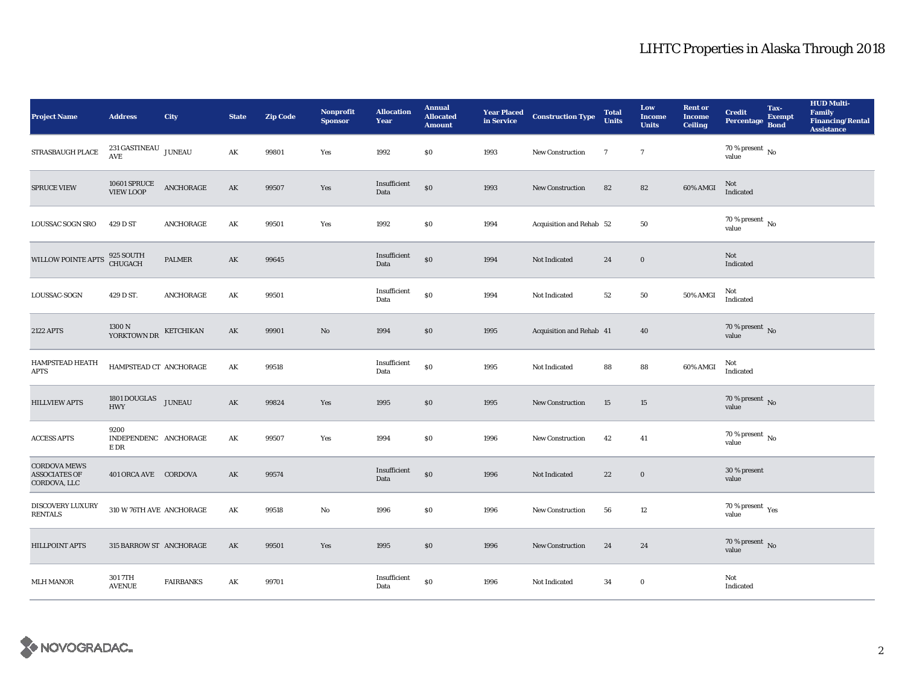| <b>Project Name</b>                                         | <b>Address</b>                        | <b>City</b>      | <b>State</b>           | <b>Zip Code</b> | <b>Nonprofit</b><br><b>Sponsor</b> | <b>Allocation</b><br>Year | <b>Annual</b><br><b>Allocated</b><br><b>Amount</b> |      | <b>Year Placed Construction Type</b><br>in Service | <b>Total</b><br><b>Units</b> | Low<br><b>Income</b><br><b>Units</b> | <b>Rent or</b><br><b>Income</b><br><b>Ceiling</b> | <b>Credit</b><br><b>Percentage</b>                   | Tax-<br><b>Exempt</b><br><b>Bond</b> | <b>HUD Multi-</b><br><b>Family</b><br><b>Financing/Rental</b><br><b>Assistance</b> |
|-------------------------------------------------------------|---------------------------------------|------------------|------------------------|-----------------|------------------------------------|---------------------------|----------------------------------------------------|------|----------------------------------------------------|------------------------------|--------------------------------------|---------------------------------------------------|------------------------------------------------------|--------------------------------------|------------------------------------------------------------------------------------|
| <b>STRASBAUGH PLACE</b>                                     | $231\,{\tt GASTINEAU}$ JUNEAU AVE     |                  | AK                     | 99801           | Yes                                | 1992                      | $\$0$                                              | 1993 | New Construction                                   | $\overline{7}$               | $7\phantom{.0}$                      |                                                   | 70 % present $\hbox{~No}$<br>value                   |                                      |                                                                                    |
| SPRUCE VIEW                                                 | 10601 SPRUCE<br>VIEW LOOP             | ANCHORAGE        | $\mathbf{A}\mathbf{K}$ | 99507           | Yes                                | Insufficient<br>Data      | $\boldsymbol{\mathsf{S}}\boldsymbol{\mathsf{O}}$   | 1993 | New Construction                                   | 82                           | 82                                   | $60\%$ AMGI                                       | Not<br>Indicated                                     |                                      |                                                                                    |
| LOUSSAC SOGN SRO                                            | 429 D ST                              | ANCHORAGE        | AK                     | 99501           | Yes                                | 1992                      | $\$0$                                              | 1994 | Acquisition and Rehab 52                           |                              | 50                                   |                                                   | $70\,\%$ present $\,$ No value                       |                                      |                                                                                    |
| WILLOW POINTE APTS                                          | 925 SOUTH<br>CHUGACH                  | <b>PALMER</b>    | AK                     | 99645           |                                    | Insufficient<br>Data      | \$0                                                | 1994 | Not Indicated                                      | 24                           | $\mathbf 0$                          |                                                   | Not<br>Indicated                                     |                                      |                                                                                    |
| LOUSSAC-SOGN                                                | 429 D ST.                             | ANCHORAGE        | AK                     | 99501           |                                    | Insufficient<br>Data      | \$0                                                | 1994 | Not Indicated                                      | $52\,$                       | ${\bf 50}$                           | 50% AMGI                                          | Not<br>Indicated                                     |                                      |                                                                                    |
| <b>2122 APTS</b>                                            | 1300 N<br>YORKTOWN DR                 | KETCHIKAN        | AK                     | 99901           | $\mathbf{No}$                      | 1994                      | \$0                                                | 1995 | Acquisition and Rehab 41                           |                              | 40                                   |                                                   | $70$ % present $\,$ No value                         |                                      |                                                                                    |
| HAMPSTEAD HEATH<br><b>APTS</b>                              | HAMPSTEAD CT ANCHORAGE                |                  | AK                     | 99518           |                                    | Insufficient<br>Data      | \$0                                                | 1995 | Not Indicated                                      | 88                           | 88                                   | 60% AMGI                                          | Not<br>$\label{thm:indicated} \textbf{Indicated}$    |                                      |                                                                                    |
| <b>HILLVIEW APTS</b>                                        | 1801 DOUGLAS JUNEAU<br><b>HWY</b>     |                  | AK                     | 99824           | Yes                                | 1995                      | \$0                                                | 1995 | <b>New Construction</b>                            | $15\,$                       | 15                                   |                                                   | 70 % present $\overline{N}$<br>value                 |                                      |                                                                                    |
| <b>ACCESS APTS</b>                                          | 9200<br>INDEPENDENC ANCHORAGE<br>E DR |                  | AK                     | 99507           | Yes                                | 1994                      | $\$0$                                              | 1996 | <b>New Construction</b>                            | 42                           | 41                                   |                                                   | $70$ % present $\,$ No $\,$<br>value                 |                                      |                                                                                    |
| <b>CORDOVA MEWS</b><br><b>ASSOCIATES OF</b><br>CORDOVA, LLC | 401 ORCA AVE CORDOVA                  |                  | AK                     | 99574           |                                    | Insufficient<br>Data      | \$0                                                | 1996 | Not Indicated                                      | $22\,$                       | $\boldsymbol{0}$                     |                                                   | 30 % present<br>value                                |                                      |                                                                                    |
| DISCOVERY LUXURY<br><b>RENTALS</b>                          | 310 W 76TH AVE ANCHORAGE              |                  | AK                     | 99518           | No                                 | 1996                      | $\$0$                                              | 1996 | <b>New Construction</b>                            | 56                           | 12                                   |                                                   | 70 % present $\rm\thinspace\gamma_{\rm es}$<br>value |                                      |                                                                                    |
| HILLPOINT APTS                                              | 315 BARROW ST ANCHORAGE               |                  | AK                     | 99501           | Yes                                | 1995                      | \$0                                                | 1996 | <b>New Construction</b>                            | 24                           | 24                                   |                                                   | $70$ % present $\,$ No value                         |                                      |                                                                                    |
| <b>MLH MANOR</b>                                            | 301 7TH<br><b>AVENUE</b>              | <b>FAIRBANKS</b> | AK                     | 99701           |                                    | Insufficient<br>Data      | \$0                                                | 1996 | Not Indicated                                      | 34                           | $\bf{0}$                             |                                                   | Not<br>Indicated                                     |                                      |                                                                                    |

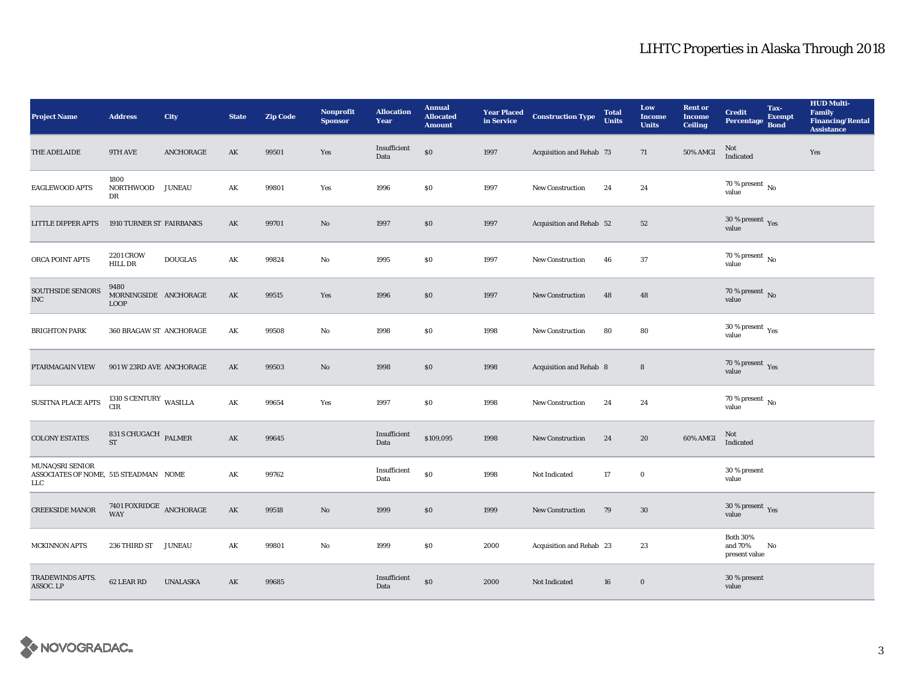| <b>Project Name</b>                                                     | <b>Address</b>                               | City            | <b>State</b>  | <b>Zip Code</b> | <b>Nonprofit</b><br><b>Sponsor</b> | <b>Allocation</b><br>Year | <b>Annual</b><br><b>Allocated</b><br><b>Amount</b> |      | <b>Year Placed Construction Type</b><br>in Service | <b>Total</b><br><b>Units</b> | Low<br><b>Income</b><br><b>Units</b> | <b>Rent or</b><br><b>Income</b><br><b>Ceiling</b> | <b>Credit</b><br><b>Percentage</b>          | Tax-<br><b>Exempt</b><br><b>Bond</b> | <b>HUD Multi-</b><br><b>Family</b><br><b>Financing/Rental</b><br><b>Assistance</b> |
|-------------------------------------------------------------------------|----------------------------------------------|-----------------|---------------|-----------------|------------------------------------|---------------------------|----------------------------------------------------|------|----------------------------------------------------|------------------------------|--------------------------------------|---------------------------------------------------|---------------------------------------------|--------------------------------------|------------------------------------------------------------------------------------|
| THE ADELAIDE                                                            | 9TH AVE                                      | ANCHORAGE       | AK            | 99501           | Yes                                | Insufficient<br>Data      | \$0                                                | 1997 | Acquisition and Rehab 73                           |                              | 71                                   | 50% AMGI                                          | Not<br>Indicated                            |                                      | Yes                                                                                |
| EAGLEWOOD APTS                                                          | 1800<br>NORTHWOOD JUNEAU<br>DR               |                 | AK            | 99801           | Yes                                | 1996                      | $\$0$                                              | 1997 | <b>New Construction</b>                            | 24                           | 24                                   |                                                   | $70$ % present $\,$ No $\,$<br>value        |                                      |                                                                                    |
| <b>LITTLE DIPPER APTS</b>                                               | 1910 TURNER ST FAIRBANKS                     |                 | AK            | 99701           | No                                 | 1997                      | \$0                                                | 1997 | Acquisition and Rehab 52                           |                              | 52                                   |                                                   | $30\,\%$ present $\,$ Yes value             |                                      |                                                                                    |
| ORCA POINT APTS                                                         | <b>2201 CROW</b><br><b>HILL DR</b>           | <b>DOUGLAS</b>  | AK            | 99824           | No                                 | 1995                      | $\$0$                                              | 1997 | New Construction                                   | 46                           | 37                                   |                                                   | 70 % present $\,$ No $\,$<br>value          |                                      |                                                                                    |
| <b>SOUTHSIDE SENIORS</b><br>$_{\mathrm{INC}}$                           | 9480<br>MORNINGSIDE ANCHORAGE<br><b>LOOP</b> |                 | $\mathbf{AK}$ | 99515           | Yes                                | 1996                      | $\$0$                                              | 1997 | <b>New Construction</b>                            | 48                           | 48                                   |                                                   | $70$ % present $_{\rm{No}}$                 |                                      |                                                                                    |
| <b>BRIGHTON PARK</b>                                                    | 360 BRAGAW ST ANCHORAGE                      |                 | AK            | 99508           | No                                 | 1998                      | \$0                                                | 1998 | <b>New Construction</b>                            | 80                           | 80                                   |                                                   | $30\,\%$ present $\,\mathrm{Yes}$ value     |                                      |                                                                                    |
| PTARMAGAIN VIEW                                                         | 901 W 23RD AVE ANCHORAGE                     |                 | AK            | 99503           | No                                 | 1998                      | \$0                                                | 1998 | Acquisition and Rehab 8                            |                              | $\boldsymbol{8}$                     |                                                   | $70\,\%$ present $\,$ Yes value             |                                      |                                                                                    |
| SUSITNA PLACE APTS                                                      | $1310$ S CENTURY $\,$ WASILLA CIR            |                 | AK            | 99654           | Yes                                | 1997                      | $\$0$                                              | 1998 | <b>New Construction</b>                            | 24                           | 24                                   |                                                   | $70$ % present $\,$ No $\,$<br>value        |                                      |                                                                                    |
| <b>COLONY ESTATES</b>                                                   | 831 S CHUGACH PALMER<br><b>ST</b>            |                 | $\mathbf{AK}$ | 99645           |                                    | Insufficient<br>Data      | \$109,095                                          | 1998 | <b>New Construction</b>                            | 24                           | 20                                   | 60% AMGI                                          | Not<br>Indicated                            |                                      |                                                                                    |
| MUNAQSRI SENIOR<br>ASSOCIATES OF NOME, 515 STEADMAN NOME<br>${\rm LLC}$ |                                              |                 | AK            | 99762           |                                    | Insufficient<br>Data      | \$0                                                | 1998 | Not Indicated                                      | 17                           | $\bf{0}$                             |                                                   | 30 % present<br>value                       |                                      |                                                                                    |
| <b>CREEKSIDE MANOR</b>                                                  | 7401 FOXRIDGE ANCHORAGE<br><b>WAY</b>        |                 | $\mathbf{AK}$ | 99518           | $\mathbf{N}\mathbf{o}$             | 1999                      | $\$0$                                              | 1999 | New Construction                                   | 79                           | $30\,$                               |                                                   | $30\,\%$ present $\,\mathrm{Yes}$ value     |                                      |                                                                                    |
| <b>MCKINNON APTS</b>                                                    | 236 THIRD ST                                 | <b>JUNEAU</b>   | AK            | 99801           | No                                 | 1999                      | $\$0$                                              | 2000 | Acquisition and Rehab 23                           |                              | 23                                   |                                                   | <b>Both 30%</b><br>and 70%<br>present value | No                                   |                                                                                    |
| TRADEWINDS APTS.<br>ASSOC. LP                                           | 62 LEAR RD                                   | <b>UNALASKA</b> | AK            | 99685           |                                    | Insufficient<br>Data      | \$0                                                | 2000 | Not Indicated                                      | 16                           | $\bf{0}$                             |                                                   | 30 % present<br>value                       |                                      |                                                                                    |

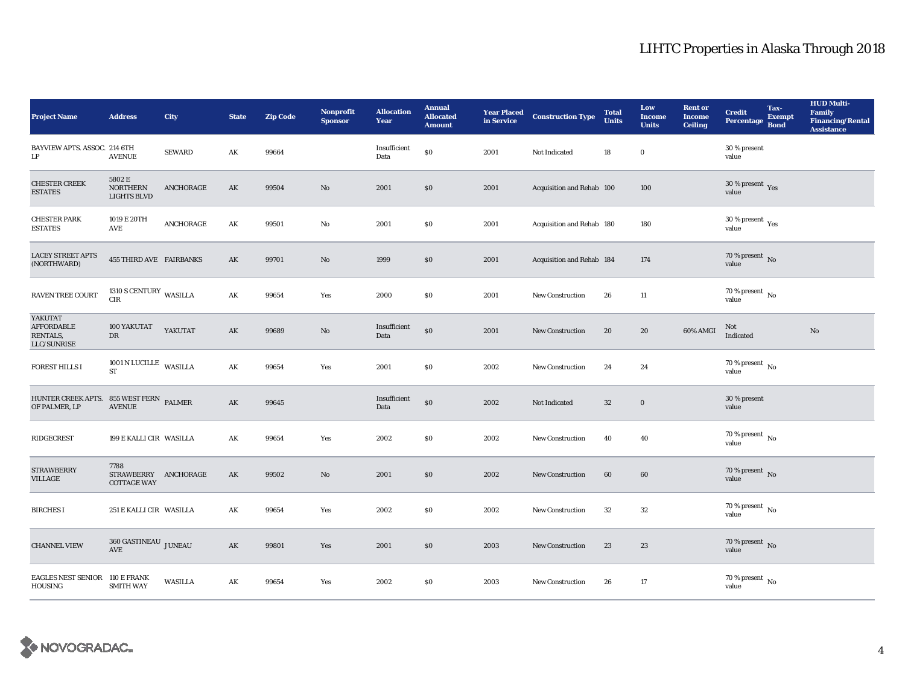| <b>Project Name</b>                                      | <b>Address</b>                                     | City           | <b>State</b>           | <b>Zip Code</b> | <b>Nonprofit</b><br><b>Sponsor</b> | <b>Allocation</b><br>Year | <b>Annual</b><br><b>Allocated</b><br><b>Amount</b> |      | <b>Year Placed Construction Type</b><br>in Service | <b>Total</b><br><b>Units</b> | Low<br><b>Income</b><br><b>Units</b> | <b>Rent or</b><br><b>Income</b><br><b>Ceiling</b> | <b>Credit</b><br><b>Percentage</b>       | Tax-<br><b>Exempt</b><br><b>Bond</b> | <b>HUD Multi-</b><br><b>Family</b><br><b>Financing/Rental</b><br><b>Assistance</b> |
|----------------------------------------------------------|----------------------------------------------------|----------------|------------------------|-----------------|------------------------------------|---------------------------|----------------------------------------------------|------|----------------------------------------------------|------------------------------|--------------------------------------|---------------------------------------------------|------------------------------------------|--------------------------------------|------------------------------------------------------------------------------------|
| BAYVIEW APTS. ASSOC. 214 6TH<br>$\mathbf{L}\mathbf{P}$   | <b>AVENUE</b>                                      | <b>SEWARD</b>  | AK                     | 99664           |                                    | Insufficient<br>Data      | \$0                                                | 2001 | Not Indicated                                      | 18                           | $\bf{0}$                             |                                                   | 30 % present<br>value                    |                                      |                                                                                    |
| <b>CHESTER CREEK</b><br><b>ESTATES</b>                   | 5802 E<br><b>NORTHERN</b><br><b>LIGHTS BLVD</b>    | ANCHORAGE      | $\mathbf{A}\mathbf{K}$ | 99504           | No                                 | 2001                      | $\$0$                                              | 2001 | Acquisition and Rehab 100                          |                              | 100                                  |                                                   | $30\,\%$ present $\,$ Yes value          |                                      |                                                                                    |
| <b>CHESTER PARK</b><br><b>ESTATES</b>                    | 1019 E 20TH<br>AVE                                 | ANCHORAGE      | $\mathbf{A}\mathbf{K}$ | 99501           | No                                 | 2001                      | \$0\$                                              | 2001 | Acquisition and Rehab 180                          |                              | 180                                  |                                                   | $30\ \%$ present $\ _{\mbox{Yes}}$ value |                                      |                                                                                    |
| <b>LACEY STREET APTS</b><br>(NORTHWARD)                  | <b>455 THIRD AVE FAIRBANKS</b>                     |                | AK                     | 99701           | No                                 | 1999                      | \$0                                                | 2001 | Acquisition and Rehab 184                          |                              | 174                                  |                                                   | 70 % present $\,$ No $\,$<br>value       |                                      |                                                                                    |
| RAVEN TREE COURT                                         | 1310 S CENTURY WASILLA<br>CIR                      |                | $\mathbf{AK}$          | 99654           | Yes                                | 2000                      | \$0                                                | 2001 | <b>New Construction</b>                            | 26                           | 11                                   |                                                   | $70$ % present $\,$ No value             |                                      |                                                                                    |
| YAKUTAT<br><b>AFFORDABLE</b><br>RENTALS,<br>LLC/SUNRISE  | 100 YAKUTAT<br>DR                                  | YAKUTAT        | AK                     | 99689           | No                                 | Insufficient<br>Data      | \$0                                                | 2001 | <b>New Construction</b>                            | 20                           | 20                                   | 60% AMGI                                          | Not<br>Indicated                         |                                      | No                                                                                 |
| <b>FOREST HILLS I</b>                                    | 1001 N LUCILLE WASILLA<br><b>ST</b>                |                | AK                     | 99654           | Yes                                | 2001                      | \$0                                                | 2002 | <b>New Construction</b>                            | 24                           | 24                                   |                                                   | 70 % present $\hbox{~No}$<br>value       |                                      |                                                                                    |
| HUNTER CREEK APTS. 855 WEST FERN PALMER<br>OF PALMER, LP | <b>AVENUE</b>                                      |                | AK                     | 99645           |                                    | Insufficient<br>Data      | \$0                                                | 2002 | Not Indicated                                      | $32\,$                       | $\boldsymbol{0}$                     |                                                   | 30 % present<br>value                    |                                      |                                                                                    |
| <b>RIDGECREST</b>                                        | 199 E KALLI CIR WASILLA                            |                | AK                     | 99654           | Yes                                | 2002                      | $\$0$                                              | 2002 | New Construction                                   | 40                           | 40                                   |                                                   | $70$ % present $\,$ No $\,$<br>value     |                                      |                                                                                    |
| <b>STRAWBERRY</b><br>VILLAGE                             | 7788<br>STRAWBERRY ANCHORAGE<br><b>COTTAGE WAY</b> |                | AK                     | 99502           | No                                 | 2001                      | $\$0$                                              | 2002 | <b>New Construction</b>                            | $\bf{60}$                    | $\bf{60}$                            |                                                   | $70\,\%$ present $\,$ No value           |                                      |                                                                                    |
| <b>BIRCHES I</b>                                         | 251 E KALLI CIR WASILLA                            |                | AK                     | 99654           | Yes                                | 2002                      | \$0\$                                              | 2002 | <b>New Construction</b>                            | 32                           | $32\,$                               |                                                   | 70 % present $\,$ No $\,$<br>value       |                                      |                                                                                    |
| <b>CHANNEL VIEW</b>                                      | $360\,\mathrm{GASTINEAU}$ JUNEAU<br>AVE            |                | AK                     | 99801           | Yes                                | 2001                      | \$0                                                | 2003 | New Construction                                   | 23                           | 23                                   |                                                   | $70\,\%$ present $\,$ No value           |                                      |                                                                                    |
| EAGLES NEST SENIOR 110 E FRANK<br>HOUSING                | <b>SMITH WAY</b>                                   | <b>WASILLA</b> | AK                     | 99654           | Yes                                | 2002                      | $\$0$                                              | 2003 | <b>New Construction</b>                            | 26                           | 17                                   |                                                   | $70\,\%$ present $\,$ No value           |                                      |                                                                                    |

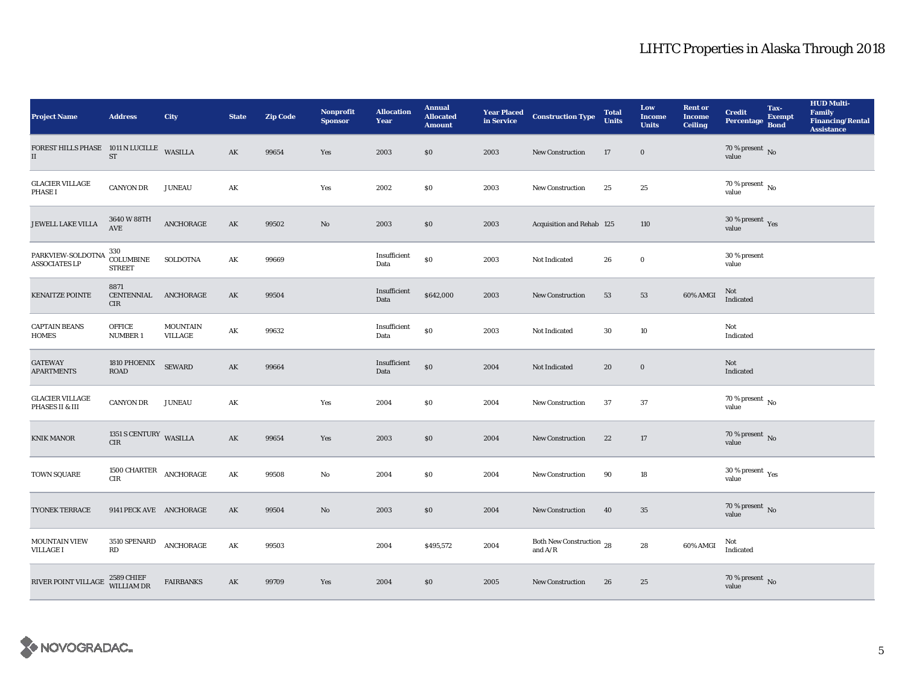| <b>Project Name</b>                                   | <b>Address</b>                             | <b>City</b>                | <b>State</b>           | <b>Zip Code</b> | <b>Nonprofit</b><br><b>Sponsor</b> | <b>Allocation</b><br>Year | <b>Annual</b><br><b>Allocated</b><br><b>Amount</b> |      | <b>Year Placed Construction Type</b><br>in Service | <b>Total</b><br><b>Units</b> | Low<br><b>Income</b><br><b>Units</b> | <b>Rent or</b><br><b>Income</b><br><b>Ceiling</b> | <b>Credit</b><br><b>Percentage</b>     | Tax-<br><b>Exempt</b><br><b>Bond</b> | <b>HUD Multi-</b><br><b>Family</b><br><b>Financing/Rental</b><br><b>Assistance</b> |
|-------------------------------------------------------|--------------------------------------------|----------------------------|------------------------|-----------------|------------------------------------|---------------------------|----------------------------------------------------|------|----------------------------------------------------|------------------------------|--------------------------------------|---------------------------------------------------|----------------------------------------|--------------------------------------|------------------------------------------------------------------------------------|
| FOREST HILLS PHASE 1011 N LUCILLE WASILLA<br>$\rm II$ | $\operatorname{ST}$                        |                            | AK                     | 99654           | Yes                                | 2003                      | \$0                                                | 2003 | <b>New Construction</b>                            | 17                           | $\bf{0}$                             |                                                   | 70 % present $\,$ No $\,$<br>value     |                                      |                                                                                    |
| <b>GLACIER VILLAGE</b><br><b>PHASE I</b>              | <b>CANYON DR</b>                           | <b>JUNEAU</b>              | AK                     |                 | Yes                                | 2002                      | $\$0$                                              | 2003 | New Construction                                   | 25                           | 25                                   |                                                   | $70$ % present $\,$ No value           |                                      |                                                                                    |
| JEWELL LAKE VILLA                                     | 3640 W 88TH<br><b>AVE</b>                  | ANCHORAGE                  | AK                     | 99502           | $\mathbf{N}\mathbf{o}$             | 2003                      | \$0                                                | 2003 | Acquisition and Rehab 125                          |                              | 110                                  |                                                   | $30\,\%$ present $\,$ Yes value        |                                      |                                                                                    |
| PARKVIEW-SOLDOTNA<br><b>ASSOCIATES LP</b>             | 330<br><b>COLUMBINE</b><br><b>STREET</b>   | <b>SOLDOTNA</b>            | AK                     | 99669           |                                    | Insufficient<br>Data      | \$0                                                | 2003 | Not Indicated                                      | 26                           | $\bf{0}$                             |                                                   | 30 % present<br>value                  |                                      |                                                                                    |
| <b>KENAITZE POINTE</b>                                | 8871<br>CENTENNIAL ANCHORAGE<br><b>CIR</b> |                            | AK                     | 99504           |                                    | Insufficient<br>Data      | \$642,000                                          | 2003 | <b>New Construction</b>                            | 53                           | 53                                   | 60% AMGI                                          | Not<br>Indicated                       |                                      |                                                                                    |
| <b>CAPTAIN BEANS</b><br><b>HOMES</b>                  | <b>OFFICE</b><br><b>NUMBER 1</b>           | <b>MOUNTAIN</b><br>VILLAGE | AK                     | 99632           |                                    | Insufficient<br>Data      | $\$0$                                              | 2003 | Not Indicated                                      | 30                           | 10                                   |                                                   | Not<br>Indicated                       |                                      |                                                                                    |
| <b>GATEWAY</b><br><b>APARTMENTS</b>                   | 1810 PHOENIX<br><b>ROAD</b>                | <b>SEWARD</b>              | $\mathbf{A}\mathbf{K}$ | 99664           |                                    | Insufficient<br>Data      | \$0                                                | 2004 | Not Indicated                                      | 20                           | $\boldsymbol{0}$                     |                                                   | Not<br>Indicated                       |                                      |                                                                                    |
| <b>GLACIER VILLAGE</b><br>PHASES II & III             | <b>CANYON DR</b>                           | <b>JUNEAU</b>              | AK                     |                 | Yes                                | 2004                      | \$0                                                | 2004 | <b>New Construction</b>                            | 37                           | 37                                   |                                                   | 70 % present $\overline{N_0}$<br>value |                                      |                                                                                    |
| <b>KNIK MANOR</b>                                     | 1351 S CENTURY WASILLA<br><b>CIR</b>       |                            | AK                     | 99654           | Yes                                | 2003                      | \$0                                                | 2004 | <b>New Construction</b>                            | 22                           | 17                                   |                                                   | $70$ % present $\,$ No value           |                                      |                                                                                    |
| TOWN SQUARE                                           | 1500 CHARTER<br>CIR                        | ANCHORAGE                  | $\mathbf{AK}$          | 99508           | No                                 | 2004                      | $\$0$                                              | 2004 | <b>New Construction</b>                            | 90                           | 18                                   |                                                   | $30\,\%$ present $\,$ Yes value        |                                      |                                                                                    |
| TYONEK TERRACE                                        | 9141 PECK AVE ANCHORAGE                    |                            | AK                     | 99504           | No                                 | 2003                      | \$0                                                | 2004 | New Construction                                   | 40                           | 35                                   |                                                   | $70\,\%$ present $\,$ No value         |                                      |                                                                                    |
| <b>MOUNTAIN VIEW</b><br><b>VILLAGE I</b>              | 3510 SPENARD<br>RD                         | ANCHORAGE                  | AK                     | 99503           |                                    | 2004                      | \$495,572                                          | 2004 | Both New Construction 28<br>and $\rm{A/R}$         |                              | $\bf{28}$                            | 60% AMGI                                          | Not<br>Indicated                       |                                      |                                                                                    |
| RIVER POINT VILLAGE                                   | 2589 CHIEF<br>WILLIAM DR                   | <b>FAIRBANKS</b>           | AK                     | 99709           | Yes                                | 2004                      | \$0                                                | 2005 | <b>New Construction</b>                            | 26                           | 25                                   |                                                   | $70\,\%$ present $\,$ No value         |                                      |                                                                                    |

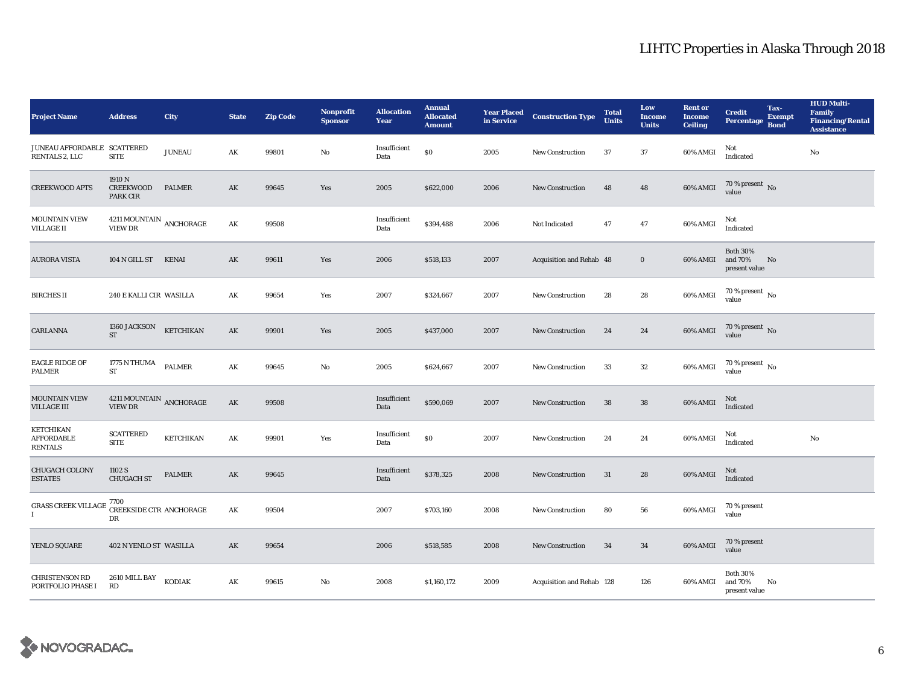| <b>Project Name</b>                              | <b>Address</b>                               | City             | <b>State</b>  | <b>Zip Code</b> | <b>Nonprofit</b><br><b>Sponsor</b> | <b>Allocation</b><br>Year | <b>Annual</b><br><b>Allocated</b><br><b>Amount</b> | in Service | <b>Year Placed Construction Type</b> | <b>Total</b><br><b>Units</b> | Low<br><b>Income</b><br><b>Units</b> | <b>Rent or</b><br>Income<br><b>Ceiling</b> | <b>Credit</b><br><b>Percentage</b>          | Tax-<br><b>Exempt</b><br><b>Bond</b> | <b>HUD Multi-</b><br><b>Family</b><br><b>Financing/Rental</b><br><b>Assistance</b> |
|--------------------------------------------------|----------------------------------------------|------------------|---------------|-----------------|------------------------------------|---------------------------|----------------------------------------------------|------------|--------------------------------------|------------------------------|--------------------------------------|--------------------------------------------|---------------------------------------------|--------------------------------------|------------------------------------------------------------------------------------|
| JUNEAU AFFORDABLE SCATTERED<br>RENTALS 2, LLC    | <b>SITE</b>                                  | <b>JUNEAU</b>    | AK            | 99801           | No                                 | Insufficient<br>Data      | $\$0$                                              | 2005       | New Construction                     | 37                           | 37                                   | 60% AMGI                                   | Not<br>Indicated                            |                                      | No                                                                                 |
| <b>CREEKWOOD APTS</b>                            | 1910 N<br><b>CREEKWOOD</b><br>PARK CIR       | <b>PALMER</b>    | AK            | 99645           | Yes                                | 2005                      | \$622,000                                          | 2006       | New Construction                     | 48                           | 48                                   | 60% AMGI                                   | $70$ % present $\,$ No value                |                                      |                                                                                    |
| <b>MOUNTAIN VIEW</b><br><b>VILLAGE II</b>        | $4211\,\mbox{MOUNTAIN}$ ANCHORAGE VIEW DR    |                  | AK            | 99508           |                                    | Insufficient<br>Data      | \$394,488                                          | 2006       | Not Indicated                        | 47                           | $\bf 47$                             | 60% AMGI                                   | Not<br>Indicated                            |                                      |                                                                                    |
| <b>AURORA VISTA</b>                              | 104 N GILL ST                                | <b>KENAI</b>     | AK            | 99611           | Yes                                | 2006                      | \$518,133                                          | 2007       | Acquisition and Rehab 48             |                              | $\bf{0}$                             | 60% AMGI                                   | <b>Both 30%</b><br>and 70%<br>present value | No                                   |                                                                                    |
| <b>BIRCHES II</b>                                | 240 E KALLI CIR WASILLA                      |                  | AK            | 99654           | Yes                                | 2007                      | \$324,667                                          | 2007       | New Construction                     | 28                           | 28                                   | 60% AMGI                                   | 70 % present $\,$ No $\,$<br>value          |                                      |                                                                                    |
| <b>CARLANNA</b>                                  | 1360 JACKSON<br><b>ST</b>                    | <b>KETCHIKAN</b> | AK            | 99901           | Yes                                | 2005                      | \$437,000                                          | 2007       | <b>New Construction</b>              | 24                           | 24                                   | 60% AMGI                                   | $70$ % present $\,$ No value                |                                      |                                                                                    |
| <b>EAGLE RIDGE OF</b><br><b>PALMER</b>           | 1775 N THUMA<br><b>ST</b>                    | <b>PALMER</b>    | AK            | 99645           | No                                 | 2005                      | \$624,667                                          | 2007       | <b>New Construction</b>              | 33                           | $32\phantom{.0}$                     | 60% AMGI                                   | 70 % present $\,$ No $\,$<br>value          |                                      |                                                                                    |
| <b>MOUNTAIN VIEW</b><br><b>VILLAGE III</b>       | $4211\,\mbox{MOUNTAIN}$ ANCHORAGE<br>VIEW DR |                  | AK            | 99508           |                                    | Insufficient<br>Data      | \$590,069                                          | 2007       | <b>New Construction</b>              | 38                           | 38                                   | 60% AMGI                                   | Not<br>Indicated                            |                                      |                                                                                    |
| KETCHIKAN<br><b>AFFORDABLE</b><br><b>RENTALS</b> | <b>SCATTERED</b><br><b>SITE</b>              | <b>KETCHIKAN</b> | AK            | 99901           | Yes                                | Insufficient<br>Data      | $\$0$                                              | 2007       | New Construction                     | 24                           | 24                                   | 60% AMGI                                   | Not<br>Indicated                            |                                      | No                                                                                 |
| <b>CHUGACH COLONY</b><br><b>ESTATES</b>          | 1102 S<br><b>CHUGACH ST</b>                  | <b>PALMER</b>    | $\mathbf{AK}$ | 99645           |                                    | Insufficient<br>Data      | \$378,325                                          | 2008       | <b>New Construction</b>              | 31                           | ${\bf 28}$                           | 60% AMGI                                   | Not<br>Indicated                            |                                      |                                                                                    |
| <b>GRASS CREEK VILLAGE</b><br>$\mathbf{I}$       | 7700<br>CREEKSIDE CTR ANCHORAGE<br>DR        |                  | $\mathbf{AK}$ | 99504           |                                    | 2007                      | \$703,160                                          | 2008       | New Construction                     | 80                           | 56                                   | 60% AMGI                                   | 70 % present<br>value                       |                                      |                                                                                    |
| YENLO SQUARE                                     | 402 N YENLO ST WASILLA                       |                  | AK            | 99654           |                                    | 2006                      | \$518,585                                          | 2008       | <b>New Construction</b>              | 34                           | 34                                   | 60% AMGI                                   | 70 % present<br>value                       |                                      |                                                                                    |
| <b>CHRISTENSON RD</b><br>PORTFOLIO PHASE I       | 2610 MILL BAY<br>RD                          | <b>KODIAK</b>    | $\mathbf{AK}$ | 99615           | $\mathbf{No}$                      | 2008                      | \$1,160,172                                        | 2009       | Acquisition and Rehab 128            |                              | 126                                  | 60% AMGI                                   | <b>Both 30%</b><br>and 70%<br>present value | No                                   |                                                                                    |

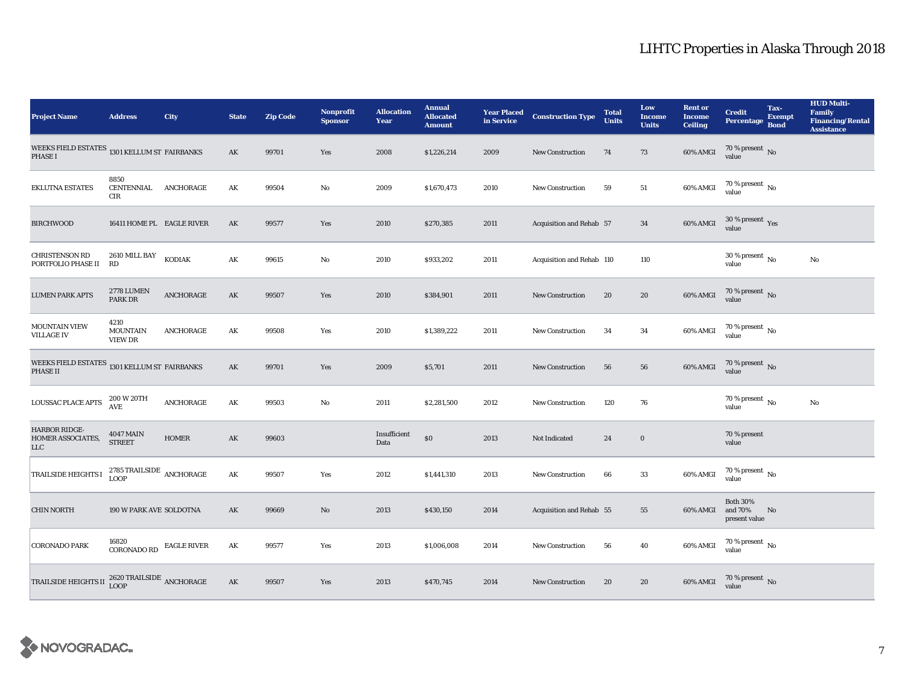| <b>Project Name</b>                                               | <b>Address</b>                                                                       | City              | <b>State</b>           | <b>Zip Code</b> | <b>Nonprofit</b><br><b>Sponsor</b> | <b>Allocation</b><br>Year | <b>Annual</b><br><b>Allocated</b><br><b>Amount</b> |      | <b>Year Placed Construction Type</b><br>in Service | <b>Total</b><br><b>Units</b> | Low<br><b>Income</b><br><b>Units</b> | <b>Rent or</b><br><b>Income</b><br><b>Ceiling</b> | <b>Credit</b><br><b>Percentage</b>            | Tax-<br><b>Exempt</b><br><b>Bond</b> | <b>HUD Multi-</b><br>Family<br><b>Financing/Rental</b><br><b>Assistance</b> |
|-------------------------------------------------------------------|--------------------------------------------------------------------------------------|-------------------|------------------------|-----------------|------------------------------------|---------------------------|----------------------------------------------------|------|----------------------------------------------------|------------------------------|--------------------------------------|---------------------------------------------------|-----------------------------------------------|--------------------------------------|-----------------------------------------------------------------------------|
| WEEKS FIELD ESTATES 1301 KELLUM ST FAIRBANKS<br><b>PHASE I</b>    |                                                                                      |                   | AK                     | 99701           | Yes                                | 2008                      | \$1,226,214                                        | 2009 | <b>New Construction</b>                            | 74                           | 73                                   | 60% AMGI                                          | 70 % present $\hbox{~No}$<br>value            |                                      |                                                                             |
| <b>EKLUTNA ESTATES</b>                                            | 8850<br>CENTENNIAL ANCHORAGE<br><b>CIR</b>                                           |                   | AK                     | 99504           | No                                 | 2009                      | \$1,670,473                                        | 2010 | <b>New Construction</b>                            | 59                           | ${\bf 51}$                           | 60% AMGI                                          | $70$ % present $\,$ No value                  |                                      |                                                                             |
| <b>BIRCHWOOD</b>                                                  | 16411 HOME PL EAGLE RIVER                                                            |                   | AK                     | 99577           | Yes                                | 2010                      | \$270,385                                          | 2011 | Acquisition and Rehab 57                           |                              | 34                                   | 60% AMGI                                          | $30\ \%$ present $\ \ \gamma_{\rm e s}$ value |                                      |                                                                             |
| <b>CHRISTENSON RD</b><br>PORTFOLIO PHASE II                       | 2610 MILL BAY<br><b>RD</b>                                                           | KODIAK            | $\mathbf{AK}$          | 99615           | $\rm No$                           | 2010                      | \$933,202                                          | 2011 | Acquisition and Rehab 110                          |                              | 110                                  |                                                   | 30 % present $\,$ No $\,$<br>value            |                                      | $_{\rm No}$                                                                 |
| <b>LUMEN PARK APTS</b>                                            | 2778 LUMEN<br><b>PARK DR</b>                                                         | ${\bf ANCHORAGE}$ | $\mathbf{A}\mathbf{K}$ | 99507           | Yes                                | 2010                      | \$384,901                                          | 2011 | <b>New Construction</b>                            | 20                           | ${\bf 20}$                           | 60% AMGI                                          | $70$ % present $_{\rm{No}}$                   |                                      |                                                                             |
| <b>MOUNTAIN VIEW</b><br><b>VILLAGE IV</b>                         | 4210<br><b>MOUNTAIN</b><br><b>VIEW DR</b>                                            | ANCHORAGE         | AK                     | 99508           | Yes                                | 2010                      | \$1,389,222                                        | 2011 | <b>New Construction</b>                            | 34                           | 34                                   | 60% AMGI                                          | $70$ % present $\,$ No value                  |                                      |                                                                             |
| WEEKS FIELD ESTATES $_{\rm 1301}$ KELLUM ST FAIRBANKS<br>PHASE II |                                                                                      |                   | AK                     | 99701           | Yes                                | 2009                      | \$5,701                                            | 2011 | <b>New Construction</b>                            | 56                           | 56                                   | 60% AMGI                                          | $70\,\%$ present $\,$ No value                |                                      |                                                                             |
| LOUSSAC PLACE APTS                                                | 200 W 20TH<br>AVE                                                                    | ANCHORAGE         | AK                     | 99503           | No                                 | 2011                      | \$2,281,500                                        | 2012 | <b>New Construction</b>                            | 120                          | 76                                   |                                                   | $70$ % present $\,$ No $\,$<br>value          |                                      | $_{\rm No}$                                                                 |
| <b>HARBOR RIDGE-</b><br>HOMER ASSOCIATES,<br>${\rm LLC}$          | <b>4047 MAIN</b><br><b>STREET</b>                                                    | <b>HOMER</b>      | AK                     | 99603           |                                    | Insufficient<br>Data      | \$0                                                | 2013 | Not Indicated                                      | 24                           | $\bf{0}$                             |                                                   | 70 % present<br>value                         |                                      |                                                                             |
| TRAILSIDE HEIGHTS I                                               | 2785 TRAILSIDE $\,$ ANCHORAGE<br><b>LOOP</b>                                         |                   | AK                     | 99507           | Yes                                | 2012                      | \$1,441,310                                        | 2013 | <b>New Construction</b>                            | 66                           | 33                                   | 60% AMGI                                          | 70 % present $\,$ No $\,$<br>value            |                                      |                                                                             |
| <b>CHIN NORTH</b>                                                 | 190 W PARK AVE SOLDOTNA                                                              |                   | AK                     | 99669           | $\mathbf{N}\mathbf{o}$             | 2013                      | \$430,150                                          | 2014 | Acquisition and Rehab 55                           |                              | 55                                   | 60% AMGI                                          | <b>Both 30%</b><br>and 70%<br>present value   | No                                   |                                                                             |
| <b>CORONADO PARK</b>                                              | 16820<br>$\begin{array}{ll} \textbf{CORONADO RD} & \textbf{EAGLE RIVER} \end{array}$ |                   | AK                     | 99577           | Yes                                | 2013                      | \$1,006,008                                        | 2014 | New Construction                                   | 56                           | 40                                   | 60% AMGI                                          | $70$ % present $\,$ No $\,$<br>value          |                                      |                                                                             |
| <b>TRAILSIDE HEIGHTS II</b>                                       | $2620\,\mbox{TRAILSIDE}$ ANCHORAGE LOOP                                              |                   | AK                     | 99507           | Yes                                | 2013                      | \$470,745                                          | 2014 | <b>New Construction</b>                            | 20                           | 20                                   | 60% AMGI                                          | $70$ % present $_{\rm{No}}$                   |                                      |                                                                             |